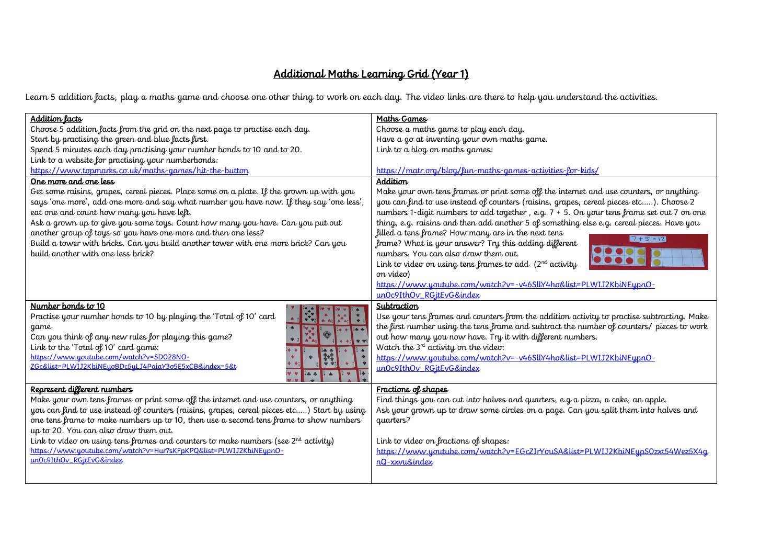## Additional Maths Learning Grid (Year 1)

Learn 5 addition facts, play a maths game and choose one other thing to work on each day. The video links are there to help you understand the activities.

| <b>Addition lacts</b>                                                                       | Maths Games                                                                                |  |  |  |  |  |
|---------------------------------------------------------------------------------------------|--------------------------------------------------------------------------------------------|--|--|--|--|--|
| Choose 5 addition facts from the grid on the next page to practise each day.                | Choose a maths game to play each day.                                                      |  |  |  |  |  |
| Start by practising the green and blue facts first.                                         | Have a go at inventing your own maths game.                                                |  |  |  |  |  |
| Spend 5 minutes each day practising your number bonds to 10 and to 20.                      | Link to a blog on maths games:                                                             |  |  |  |  |  |
| Link to a website for practising your numberbonds:                                          |                                                                                            |  |  |  |  |  |
| https://www.topmarks.co.uk/maths-games/hit-the-button                                       | https://matr.org/blog/fun-maths-games-activities-for-kids/                                 |  |  |  |  |  |
| One more and one less                                                                       | Addition                                                                                   |  |  |  |  |  |
| Get some raisins, grapes, cereal pieces. Place some on a plate. If the grown up with you    | Make your own tens frames or print some off the internet and use counters, or anything     |  |  |  |  |  |
| says 'one more', add one more and say what number you have now. If they say 'one less',     | you can find to use instead of counters (raisins, grapes, cereal pieces etc). Choose 2     |  |  |  |  |  |
| eat one and count how many you have left.                                                   | numbers 1-digit numbers to add together, e.g. 7 + 5. On your tens frame set out 7 on one   |  |  |  |  |  |
| Ask a grown up to give you some toys. Count how many you have. Can you put out              | thing, e.g. raisins and then add another 5 of something else e.g. cereal pieces. Have you  |  |  |  |  |  |
| another group of toys so you have one more and then one less?                               | filled a tens frame? How many are in the next tens                                         |  |  |  |  |  |
| Build a tower with bricks. Can you build another tower with one more brick? Can you         | $7 + 5 = 12$<br>frame? What is your answer? Try this adding different                      |  |  |  |  |  |
| build another with one less brick?                                                          | numbers. You can also draw them out.                                                       |  |  |  |  |  |
|                                                                                             | Link to video on using tens frames to add $(2^{nd}$ activity                               |  |  |  |  |  |
|                                                                                             | on video)                                                                                  |  |  |  |  |  |
|                                                                                             | https://www.youtube.com/watch?v=-v46SllY4ho&list=PLWIJ2KbiNEypnO-                          |  |  |  |  |  |
|                                                                                             | un0c9IthOv_RGitEvG&index                                                                   |  |  |  |  |  |
| Number bonds to 10                                                                          | Subtraction                                                                                |  |  |  |  |  |
| Practise your number bonds to 10 by playing the 'Total of 10' card                          | Use your tens frames and counters from the addition activity to practise subtracting. Make |  |  |  |  |  |
| game                                                                                        | the first number using the tens frame and subtract the number of counters/ pieces to work  |  |  |  |  |  |
| 14.4<br>Can you think of any new rules for playing this game?                               | out how many you now have. Try it with different numbers.                                  |  |  |  |  |  |
| Link to the 'Total of 10' card game:                                                        | Watch the $3^{rd}$ activity on the video:                                                  |  |  |  |  |  |
| https://www.youtube.com/watch?v=SD028NO-                                                    | https://www.youtube.com/watch?v=-v46SllY4ho&list=PLWIJ2KbiNEypnO-                          |  |  |  |  |  |
| ZGc&list=PLWIJ2KbiNEyoBDc5yLJ4PaiaY3o5E5xCB&index=5&t                                       | un0c9IthOv RGitEvG&index                                                                   |  |  |  |  |  |
|                                                                                             |                                                                                            |  |  |  |  |  |
| Represent different numbers                                                                 | Fractions of shapes                                                                        |  |  |  |  |  |
| Make your own tens frames or print some off the internet and use counters, or anything      | Find things you can cut into halves and quarters, e.g a pizza, a cake, an apple.           |  |  |  |  |  |
| you can find to use instead of counters (raisins, grapes, cereal pieces etc) Start by using | Ask your grown up to draw some circles on a page. Can you split them into halves and       |  |  |  |  |  |
| one tens frame to make numbers up to 10, then use a second tens frame to show numbers       | quarters?                                                                                  |  |  |  |  |  |
| up to 20. You can also draw them out.                                                       |                                                                                            |  |  |  |  |  |
| Link to video on using tens frames and counters to make numbers (see $2^{nd}$ activity)     | Link to video on fractions of shapes:                                                      |  |  |  |  |  |
| https://www.youtube.com/watch?v=Hur7sKFpKPQ&list=PLWIJ2KbiNEypnO-                           | https://www.youtube.com/watch?v=EGcZIrYouSA&list=PLWIJ2KbiNEypS0zxt54Wez5X4q               |  |  |  |  |  |
| un0c9IthOv RGitEvG&index                                                                    | nQ-xxvu&index                                                                              |  |  |  |  |  |
|                                                                                             |                                                                                            |  |  |  |  |  |
|                                                                                             |                                                                                            |  |  |  |  |  |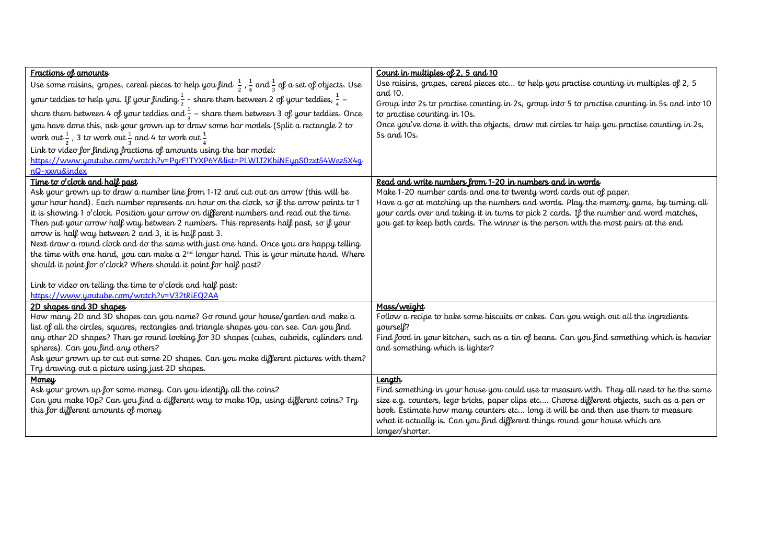| Fractions of amounts                                                                                                                                                              | Count in multiples of 2, 5 and 10                                                                                                                                  |
|-----------------------------------------------------------------------------------------------------------------------------------------------------------------------------------|--------------------------------------------------------------------------------------------------------------------------------------------------------------------|
| Use some raisins, grapes, cereal pieces to help you find $\frac{1}{2}$ , $\frac{1}{4}$ and $\frac{1}{3}$ of a set of objects. Use                                                 | Use raisins, grapes, cereal pieces etc to help you practise counting in multiples of 2, 5                                                                          |
| your teddies to help you. If your finding $\frac{1}{2}$ - share them between 2 of your teddies, $\frac{1}{4}$ –                                                                   | and 10.<br>Group into 2s to practise counting in 2s, group into 5 to practise counting in 5s and into 10                                                           |
| share them between 4 of your teddies and $\frac{1}{3}$ – share them between 3 of your teddies. Once                                                                               | to practise counting in 10s.                                                                                                                                       |
| you have done this, ask your grown up to draw some bar models (Split a rectangle 2 to                                                                                             | Once you've done it with the objects, draw out circles to help you practise counting in 2s,                                                                        |
| work out $\frac{1}{2}$ , 3 to work out $\frac{1}{2}$ and 4 to work out $\frac{1}{4}$                                                                                              | 5s and 10s.                                                                                                                                                        |
| Link to video for finding fractions of amounts using the bar model:                                                                                                               |                                                                                                                                                                    |
| https://www.youtube.com/watch?v=PgrF1TYXP6Y&list=PLWIJ2KbiNEypS0zxt54Wez5X4q                                                                                                      |                                                                                                                                                                    |
| nQ-xxvu&index                                                                                                                                                                     |                                                                                                                                                                    |
| Time to o'clock and hall past                                                                                                                                                     | Read and write numbers from 1-20 in numbers and in words                                                                                                           |
| Ask your grown up to draw a number line from 1-12 and cut out an arrow (this will be<br>your hour hand). Each number represents an hour on the clock, so if the arrow points to 1 | Make 1-20 number cards and one to twenty word cards out of paper.<br>Have a go at matching up the numbers and words. Play the memory game, by turning all          |
| it is showing 1 o'clock. Position your arrow on different numbers and read out the time.                                                                                          | your cards over and taking it in turns to pick 2 cards. If the number and word matches,                                                                            |
| Then put your arrow half way between 2 numbers. This represents half past, so if your                                                                                             | you get to keep both cards. The winner is the person with the most pairs at the end.                                                                               |
| arrow is half way between 2 and 3, it is half past 3.                                                                                                                             |                                                                                                                                                                    |
| Next draw a round clock and do the same with just one hand. Once you are happy telling                                                                                            |                                                                                                                                                                    |
| the time with one hand, you can make a 2 <sup>nd</sup> longer hand. This is your minute hand. Where                                                                               |                                                                                                                                                                    |
| should it point for o'clock? Where should it point for half past?                                                                                                                 |                                                                                                                                                                    |
|                                                                                                                                                                                   |                                                                                                                                                                    |
| Link to video on telling the time to o'clock and half past:<br>https://www.youtube.com/watch?v=V32tRiEQ2AA                                                                        |                                                                                                                                                                    |
| 2D shapes and 3D shapes                                                                                                                                                           | Mass/weight                                                                                                                                                        |
| How many 2D and 3D shapes can you name? Go round your house/garden and make a                                                                                                     | Follow a recipe to bake some biscuits or cakes. Can you weigh out all the ingredients                                                                              |
| list of all the circles, squares, rectangles and triangle shapes you can see. Can you find                                                                                        | yourself?                                                                                                                                                          |
| any other 2D shapes? Then go round looking for 3D shapes (cubes, cuboids, cylinders and                                                                                           | Find food in your kitchen, such as a tin of beans. Can you find something which is heavier                                                                         |
| spheres). Can you find any others?                                                                                                                                                | and something which is lighter?                                                                                                                                    |
| Ask your grown up to cut out some 2D shapes. Can you make different pictures with them?                                                                                           |                                                                                                                                                                    |
| Try drawing out a picture using just 2D shapes.                                                                                                                                   |                                                                                                                                                                    |
| Money                                                                                                                                                                             | Length                                                                                                                                                             |
| Ask your grown up for some money. Can you identify all the coins?                                                                                                                 | Find something in your house you could use to measure with. They all need to be the same                                                                           |
| Can you make 10p? Can you find a different way to make 10p, using different coins? Try                                                                                            | size e.g. counters, lego bricks, paper clips etc Choose different objects, such as a pen or                                                                        |
| this for different amounts of money                                                                                                                                               | book. Estimate how many counters etc long it will be and then use them to measure<br>what it actually is. Can you find different things round your house which are |
|                                                                                                                                                                                   | longer/shorter.                                                                                                                                                    |